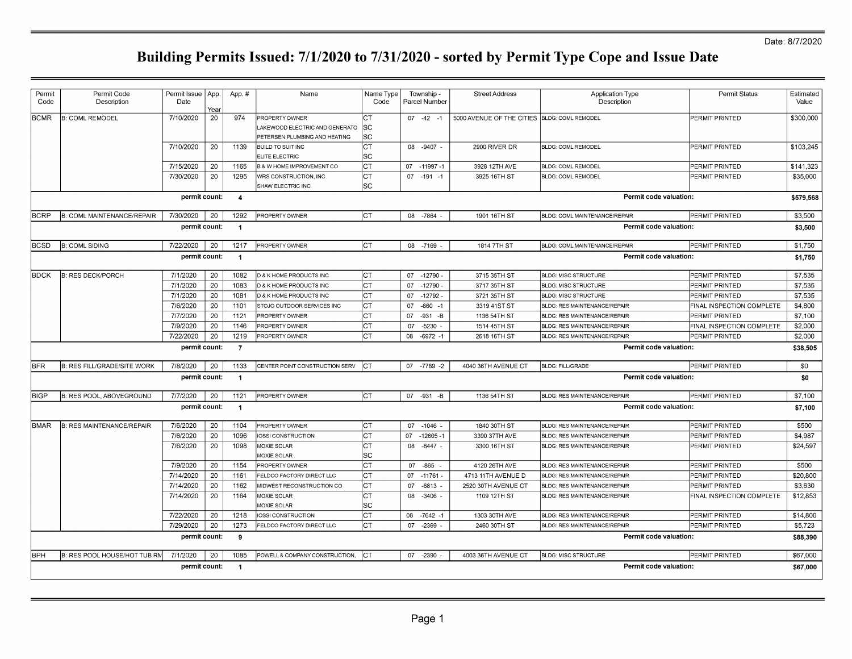| Permit<br>Code | Permit Code<br>Description                                      | Permit Issue   App.<br>Date | Year | App.#                | Name                                       | Name Type<br>Code |    | Township -<br>Parcel Number | <b>Street Address</b>                        | <b>Application Type</b><br>Description | Permit Status             | Estimated<br>Value |
|----------------|-----------------------------------------------------------------|-----------------------------|------|----------------------|--------------------------------------------|-------------------|----|-----------------------------|----------------------------------------------|----------------------------------------|---------------------------|--------------------|
| <b>BCMR</b>    | <b>B: COML REMODEL</b>                                          | 7/10/2020                   | 20   | 974                  | PROPERTY OWNER                             | <b>CT</b>         |    | $07 -42 -1$                 | 5000 AVENUE OF THE CITIES BLDG: COML REMODEL |                                        | PERMIT PRINTED            | \$300,000          |
|                |                                                                 |                             |      |                      | LAKEWOOD ELECTRIC AND GENERATO             | lsc               |    |                             |                                              |                                        |                           |                    |
|                |                                                                 |                             |      |                      | PETERSEN PLUMBING AND HEATING              | SC                |    |                             |                                              |                                        |                           |                    |
|                |                                                                 | 7/10/2020                   | 20   | 1139                 | <b>BUILD TO SUIT INC</b>                   | Iст               |    | 08 -9407 -                  | 2900 RIVER DR                                | <b>BLDG: COML REMODEL</b>              | PERMIT PRINTED            | \$103,245          |
|                |                                                                 |                             |      |                      | ELITE ELECTRIC                             | SC                |    |                             |                                              |                                        |                           |                    |
|                |                                                                 | 7/15/2020                   | 20   | 1165                 | <b>B &amp; W HOME IMPROVEMENT CO</b>       | Iст               |    | 07 -11997 -1                | 3928 12TH AVE                                | <b>BLDG: COML REMODEL</b>              | PERMIT PRINTED            | \$141.323          |
|                |                                                                 | 7/30/2020                   | 20   | 1295                 | WRS CONSTRUCTION, INC<br>SHAW ELECTRIC INC | Iст<br>lsc        |    | $07 - 191 - 1$              | 3925 16TH ST                                 | <b>BLDG: COML REMODEL</b>              | PERMIT PRINTED            | \$35,000           |
|                |                                                                 | permit count:               |      | $\overline{4}$       |                                            |                   |    |                             |                                              | Permit code valuation:                 |                           | \$579,568          |
|                |                                                                 |                             |      |                      |                                            |                   |    |                             |                                              |                                        |                           |                    |
| BCRP           | <b>B: COML MAINTENANCE/REPAIR</b>                               | 7/30/2020                   | 20   | 1292                 | <b>PROPERTY OWNER</b>                      | Iст               |    | 08 -7864 -                  | 1901 16TH ST                                 | BLDG: COML MAINTENANCE/REPAIR          | PERMIT PRINTED            | \$3,500            |
|                |                                                                 | permit count:               |      | $\blacktriangleleft$ |                                            |                   |    |                             |                                              | Permit code valuation:                 |                           | \$3,500            |
| <b>BCSD</b>    | <b>B: COML SIDING</b>                                           | 7/22/2020                   | 20   | 1217                 | <b>PROPERTY OWNER</b>                      | Iст               |    | 08 -7169                    | 1814 7TH ST                                  | BLDG: COML MAINTENANCE/REPAIR          | PERMIT PRINTED            | \$1,750            |
|                |                                                                 | permit count:               |      | $\overline{1}$       |                                            |                   |    |                             |                                              | Permit code valuation:                 |                           | \$1,750            |
| <b>BDCK</b>    | <b>B: RES DECK/PORCH</b>                                        | 7/1/2020                    | 20   | 1082                 | D & K HOME PRODUCTS INC                    | Iст               |    | 07 -12790 -                 | 3715 35TH ST                                 | <b>BLDG: MISC STRUCTURE</b>            | PERMIT PRINTED            | \$7,535            |
|                |                                                                 | 7/1/2020                    | 20   | 1083                 | D & K HOME PRODUCTS INC                    | Iст               |    | 07 -12790                   | 3717 35TH ST                                 | <b>BLDG: MISC STRUCTURE</b>            | PERMIT PRINTED            | \$7,535            |
|                |                                                                 | 7/1/2020                    | 20   | 1081                 | <b>D &amp; K HOME PRODUCTS INC</b>         | Iст               | 07 | $-12792$                    | 3721 35TH ST                                 | <b>BLDG: MISC STRUCTURE</b>            | PERMIT PRINTED            | \$7,535            |
|                |                                                                 | 7/6/2020                    | 20   | 1101                 | STOJO OUTDOOR SERVICES INC                 | Iст               | 07 | $-660 - 1$                  | 3319 41ST ST                                 | <b>BLDG: RES MAINTENANCE/REPAIR</b>    | FINAL INSPECTION COMPLETE | \$4,800            |
|                |                                                                 | 7/7/2020                    | 20   | 1121                 | PROPERTY OWNER                             | Iст               | 07 | $-931 - B$                  | 1136 54TH ST                                 | <b>BLDG: RES MAINTENANCE/REPAIR</b>    | PERMIT PRINTED            | \$7.100            |
|                |                                                                 | 7/9/2020                    | 20   | 1146                 | PROPERTY OWNER                             | lст               | 07 | $-5230$                     | 1514 45TH ST                                 | <b>BLDG: RES MAINTENANCE/REPAIR</b>    | FINAL INSPECTION COMPLETE | \$2,000            |
|                |                                                                 | 7/22/2020                   | 20   | 1219                 | PROPERTY OWNER                             | Iст               | 08 | $-6972 - 1$                 | 2618 16TH ST                                 | <b>BLDG: RES MAINTENANCE/REPAIR</b>    | PERMIT PRINTED            | \$2,000            |
|                |                                                                 | permit count:               |      | $\overline{7}$       |                                            |                   |    |                             |                                              | Permit code valuation:                 |                           | \$38,505           |
| <b>BFR</b>     | B: RES FILL/GRADE/SITE WORK                                     | 7/8/2020                    | 20   | 1133                 | CENTER POINT CONSTRUCTION SERV             | <b>ICT</b>        |    | 07 -7789 -2                 | 4040 36TH AVENUE CT                          | <b>BLDG: FILL/GRADE</b>                | PERMIT PRINTED            | \$0                |
|                |                                                                 | permit count:               |      | $\overline{1}$       |                                            |                   |    |                             |                                              | Permit code valuation:                 |                           | \$0                |
| <b>BIGP</b>    | B: RES POOL, ABOVEGROUND                                        | 7/7/2020                    | 20   | 1121                 | <b>PROPERTY OWNER</b>                      | Iст               |    | 07 -931 -B                  | 1136 54TH ST                                 | <b>BLDG: RES MAINTENANCE/REPAIR</b>    | <b>PERMIT PRINTED</b>     | \$7,100            |
|                |                                                                 | permit count:               |      | $\overline{1}$       |                                            |                   |    |                             |                                              | Permit code valuation:                 |                           | \$7,100            |
| BMAR           | B: RES MAINTENANCE/REPAIR                                       | 7/6/2020                    | 20   | 1104                 | PROPERTY OWNER                             | Iст               |    | 07 -1046 -                  | 1840 30TH ST                                 | <b>BLDG: RES MAINTENANCE/REPAIR</b>    | PERMIT PRINTED            | \$500              |
|                |                                                                 | 7/6/2020                    | 20   | 1096                 | <b>IOSSI CONSTRUCTION</b>                  | Iст               | 07 | $-12605 - 1$                | 3390 37TH AVE                                | <b>BLDG: RES MAINTENANCE/REPAIR</b>    | PERMIT PRINTED            | \$4.987            |
|                |                                                                 | 7/6/2020                    | 20   | 1098                 | MOXIE SOLAR<br>MOXIE SOLAR                 | <b>CT</b><br> SC  |    | 08 -8447 -                  | 3300 16TH ST                                 | <b>BLDG: RES MAINTENANCE/REPAIR</b>    | PERMIT PRINTED            | \$24,597           |
|                |                                                                 | 7/9/2020                    | 20   | 1154                 | PROPERTY OWNER                             | Iст               |    | 07 -865 -                   | 4120 26TH AVE                                | <b>BLDG: RES MAINTENANCE/REPAIR</b>    | PERMIT PRINTED            | \$500              |
|                |                                                                 | 7/14/2020                   | 20   | 1161                 | FELDCO FACTORY DIRECT LLC                  | Iст               | 07 | $-11761$                    | 4713 11TH AVENUE D                           | BLDG: RES MAINTENANCE/REPAIR           | PERMIT PRINTED            | \$20,800           |
|                |                                                                 | 7/14/2020                   | 20   | 1162                 | MIDWEST RECONSTRUCTION CO                  | Iст               | 07 | $-6813$                     | 2520 30TH AVENUE CT                          | <b>BLDG: RES MAINTENANCE/REPAIR</b>    | PERMIT PRINTED            | \$3,630            |
|                |                                                                 | 7/14/2020                   | 20   | 1164                 | MOXIE SOLAR                                | Iст               | 08 | $-3406$                     | 1109 12TH ST                                 | <b>BLDG: RES MAINTENANCE/REPAIR</b>    | FINAL INSPECTION COMPLETE | \$12,853           |
|                |                                                                 |                             |      |                      | MOXIE SOLAR                                | SC                |    |                             |                                              |                                        |                           |                    |
|                |                                                                 | 7/22/2020                   | 20   | 1218                 | IOSSI CONSTRUCTION                         | Iст               | 08 | $-7642 - 1$                 | 1303 30TH AVE                                | <b>BLDG: RES MAINTENANCE/REPAIR</b>    | PERMIT PRINTED            | \$14,800           |
|                |                                                                 | 7/29/2020                   | 20   | 1273                 | FELDCO FACTORY DIRECT LLC                  | Iст               | 07 | $-2369$                     | 2460 30TH ST                                 | <b>BLDG: RES MAINTENANCE/REPAIR</b>    | PERMIT PRINTED            | \$5,723            |
|                | permit count:<br>9<br><b>Permit code valuation:</b><br>\$88,390 |                             |      |                      |                                            |                   |    |                             |                                              |                                        |                           |                    |
| <b>BPH</b>     | B: RES POOL HOUSE/HOT TUB RM                                    | 7/1/2020                    | 20   | 1085                 | POWELL & COMPANY CONSTRUCTION,             | Iст               |    | 07 -2390                    | 4003 36TH AVENUE CT                          | <b>BLDG: MISC STRUCTURE</b>            | PERMIT PRINTED            | \$67,000           |
|                |                                                                 | permit count:               |      | $\overline{1}$       |                                            |                   |    |                             |                                              | Permit code valuation:                 |                           | \$67,000           |
|                |                                                                 |                             |      |                      |                                            |                   |    |                             |                                              |                                        |                           |                    |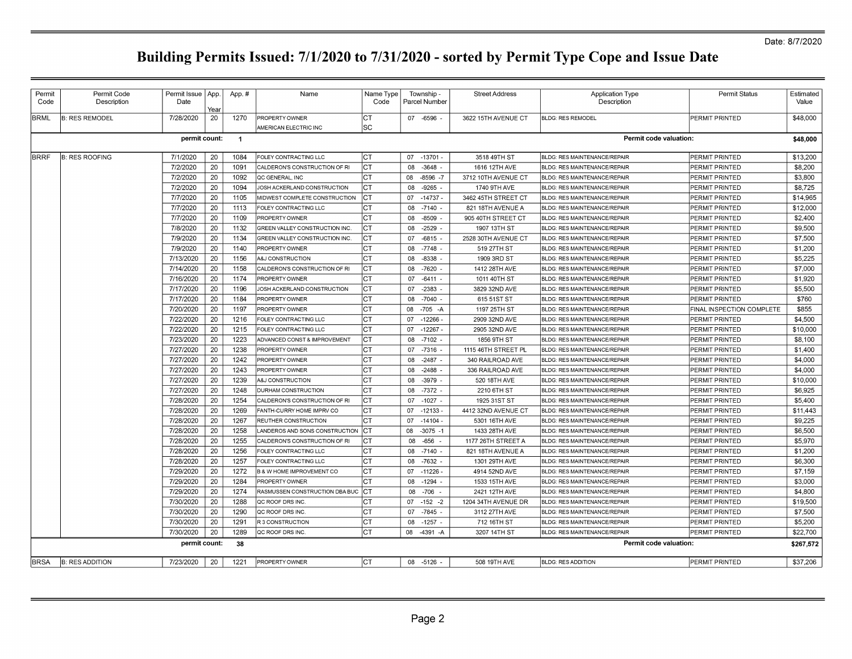| Permit      | Permit Code            | Permit Issue           | App.     | App.#          | Name                                                           | Name Type  |          | Township -     | <b>Street Address</b> | <b>Application Type</b>                                                    | <b>Permit Status</b>      | Estimated |
|-------------|------------------------|------------------------|----------|----------------|----------------------------------------------------------------|------------|----------|----------------|-----------------------|----------------------------------------------------------------------------|---------------------------|-----------|
| Code        | Description            | Date                   | Year     |                |                                                                | Code       |          | Parcel Number  |                       | Description                                                                |                           | Value     |
| <b>BRML</b> | <b>B: RES REMODEL</b>  | 7/28/2020              | 20       | 1270           | <b>PROPERTY OWNER</b>                                          | IСТ        |          | 07 -6596 -     | 3622 15TH AVENUE CT   | <b>BLDG: RES REMODEL</b>                                                   | PERMIT PRINTED            | \$48,000  |
|             |                        |                        |          |                | AMERICAN ELECTRIC INC                                          | lsc        |          |                |                       |                                                                            |                           |           |
|             |                        | permit count:          |          | $\overline{1}$ |                                                                |            |          |                |                       | Permit code valuation:                                                     |                           | \$48,000  |
| BRRF        | <b>B: RES ROOFING</b>  | 7/1/2020               | 20       | 1084           | FOLEY CONTRACTING LLC                                          | lC1        |          | 07 -13701 -    | 3518 49TH ST          | BLDG: RES MAINTENANCE/REPAIR                                               | PERMIT PRINTED            | \$13,200  |
|             |                        | 7/2/2020               | 20       | 1091           | CALDERON'S CONSTRUCTION OF RI                                  | Iст        | 08       | $-3648 -$      | 1616 12TH AVE         | BLDG: RES MAINTENANCE/REPAIR                                               | PERMIT PRINTED            | \$8,200   |
|             |                        | 7/2/2020               | 20       | 1092           | QC GENERAL, INC                                                | Iст        | 08       | $-8596 - 7$    | 3712 10TH AVENUE CT   | <b>BLDG: RES MAINTENANCE/REPAIR</b>                                        | PERMIT PRINTED            | \$3,800   |
|             |                        | 7/2/2020               | 20       | 1094           | JOSH ACKERLAND CONSTRUCTION                                    | IСT        | 08       | $-9265$        | 1740 9TH AVE          | BLDG: RES MAINTENANCE/REPAIR                                               | PERMIT PRINTED            | \$8.725   |
|             |                        | 7/7/2020               | 20       | 1105           | MIDWEST COMPLETE CONSTRUCTION                                  | Iст        | 07       | $-14737$       | 3462 45TH STREET CT   | BLDG: RES MAINTENANCE/REPAIR                                               | PERMIT PRINTED            | \$14,965  |
|             |                        | 7/7/2020               | 20       | 1113           | FOLEY CONTRACTING LLC                                          | Iст        | 08       | -7140 -        | 821 18TH AVENUE A     | BLDG: RES MAINTENANCE/REPAIR                                               | PERMIT PRINTED            | \$12,000  |
|             |                        | 7/7/2020               | 20       | 1109           | PROPERTY OWNER                                                 | Iст        | 08       | $-8509$        | 905 40TH STREET CT    | <b>BLDG: RES MAINTENANCE/REPAIR</b>                                        | PERMIT PRINTED            | \$2,400   |
|             |                        | 7/8/2020               | 20       | 1132           |                                                                | Iст        | 08       | $-2529$        | 1907 13TH ST          |                                                                            | PERMIT PRINTED            | \$9,500   |
|             |                        | 7/9/2020               | 20       | 1134           | GREEN VALLEY CONSTRUCTION INC<br>GREEN VALLEY CONSTRUCTION INC | Iст        | 07       | $-6815$        | 2528 30TH AVENUE CT   | <b>BLDG: RES MAINTENANCE/REPAIR</b><br><b>BLDG: RES MAINTENANCE/REPAIR</b> | PERMIT PRINTED            | \$7,500   |
|             |                        |                        | 20       | 1140           | PROPERTY OWNER                                                 | lст        | 08       | $-7748$        | 519 27TH ST           | <b>BLDG: RES MAINTENANCE/REPAIR</b>                                        | PERMIT PRINTED            | \$1,200   |
|             |                        | 7/9/2020               |          |                | A&J CONSTRUCTION                                               |            |          |                | 1909 3RD ST           | <b>BLDG: RES MAINTENANCE/REPAIR</b>                                        | PERMIT PRINTED            | \$5,225   |
|             |                        | 7/13/2020<br>7/14/2020 | 20<br>20 | 1156<br>1158   | CALDERON'S CONSTRUCTION OF RI                                  | ∣ст<br>Iст | 08       | -8338<br>-7620 |                       | BLDG: RES MAINTENANCE/REPAIR                                               | PERMIT PRINTED            | \$7,000   |
|             |                        | 7/16/2020              | 20       | 1174           |                                                                | Iст        | 08<br>07 | $-6411 -$      | 1412 28TH AVE         |                                                                            |                           | \$1.920   |
|             |                        |                        | 20       |                | <b>PROPERTY OWNER</b>                                          | Iст        |          |                | 1011 40TH ST          | <b>BLDG: RES MAINTENANCE/REPAIR</b>                                        | PERMIT PRINTED            | \$5,500   |
|             |                        | 7/17/2020              |          | 1196           | JOSH ACKERLAND CONSTRUCTION                                    |            | 07       | $-2383$ .      | 3829 32ND AVE         | <b>BLDG: RES MAINTENANCE/REPAIR</b>                                        | PERMIT PRINTED            | \$760     |
|             |                        | 7/17/2020              | 20<br>20 | 1184           | PROPERTY OWNER                                                 | Iст<br>Iст | 08       | $-7040 -$      | 615 51ST ST           | BLDG: RES MAINTENANCE/REPAIR                                               | PERMIT PRINTED            | \$855     |
|             |                        | 7/20/2020              |          | 1197           | PROPERTY OWNER                                                 |            | 08       | $-705 - A$     | 1197 25TH ST          | <b>BLDG: RES MAINTENANCE/REPAIR</b>                                        | FINAL INSPECTION COMPLETE |           |
|             |                        | 7/22/2020              | 20       | 1216           | FOLEY CONTRACTING LLC                                          | Iст        | 07       | -12266         | 2909 32ND AVE         | <b>BLDG: RES MAINTENANCE/REPAIR</b>                                        | PERMIT PRINTED            | \$4,500   |
|             |                        | 7/22/2020              | 20       | 1215           | FOLEY CONTRACTING LLC                                          | Iст        | 07       | $-12267$       | 2905 32ND AVE         | <b>BLDG: RES MAINTENANCE/REPAIR</b>                                        | PERMIT PRINTED            | \$10,000  |
|             |                        | 7/23/2020              | 20       | 1223           | ADVANCED CONST & IMPROVEMENT                                   | Iст        | 08       | $-7102$        | 1856 9TH ST           | <b>BLDG: RES MAINTENANCE/REPAIR</b>                                        | PERMIT PRINTED            | \$8,100   |
|             |                        | 7/27/2020              | 20       | 1238           | <b>PROPERTY OWNER</b>                                          | lст        | 07       | $-7316$        | 1115 46TH STREET PL   | BLDG: RES MAINTENANCE/REPAIR                                               | PERMIT PRINTED            | \$1,400   |
|             |                        | 7/27/2020              | 20       | 1242           | PROPERTY OWNER                                                 | Iст        | 08       | $-2487$        | 340 RAILROAD AVE      | BLDG: RES MAINTENANCE/REPAIR                                               | PERMIT PRINTED            | \$4,000   |
|             |                        | 7/27/2020              | 20       | 1243           | PROPERTY OWNER                                                 | Iст        | 08       | $-2488$        | 336 RAILROAD AVE      | BLDG: RES MAINTENANCE/REPAIR                                               | PERMIT PRINTED            | \$4,000   |
|             |                        | 7/27/2020              | 20       | 1239           | A&J CONSTRUCTION                                               | Iст        | 08       | -3979 -        | 520 18TH AVE          | <b>BLDG: RES MAINTENANCE/REPAIR</b>                                        | PERMIT PRINTED            | \$10,000  |
|             |                        | 7/27/2020              | 20       | 1248           | <b>DURHAM CONSTRUCTION</b>                                     | Iст        | 08       | -7372 -        | 2210 6TH ST           | <b>BLDG: RES MAINTENANCE/REPAIR</b>                                        | PERMIT PRINTED            | \$6,925   |
|             |                        | 7/28/2020              | 20       | 1254           | CALDERON'S CONSTRUCTION OF RI                                  | Iст        | 07       | $-1027 -$      | 1925 31ST ST          | BLDG: RES MAINTENANCE/REPAIR                                               | PERMIT PRINTED            | \$5,400   |
|             |                        | 7/28/2020              | 20       | 1269           | FANTH-CURRY HOME IMPRV CO                                      | Iст        | 07       | $-12133$       | 4412 32ND AVENUE CT   | <b>BLDG: RES MAINTENANCE/REPAIR</b>                                        | PERMIT PRINTED            | \$11,443  |
|             |                        | 7/28/2020              | 20       | 1267           | REUTHER CONSTRUCTION                                           | Iст        | 07       | $-14104$       | 5301 16TH AVE         | BLDG: RES MAINTENANCE/REPAIR                                               | PERMIT PRINTED            | \$9.225   |
|             |                        | 7/28/2020              | 20       | 1258           | LANDEROS AND SONS CONSTRUCTION                                 | Iст        | 08       | $-3075 - 1$    | 1433 28TH AVE         | BLDG: RES MAINTENANCE/REPAIR                                               | PERMIT PRINTED            | \$6,500   |
|             |                        | 7/28/2020              | 20       | 1255           | CALDERON'S CONSTRUCTION OF RI                                  | Iст        | 08       | $-656$         | 1177 26TH STREET A    | <b>BLDG: RES MAINTENANCE/REPAIR</b>                                        | PERMIT PRINTED            | \$5,970   |
|             |                        | 7/28/2020              | 20       | 1256           | FOLEY CONTRACTING LLC                                          | Iст        | 08       | $-7140$        | 821 18TH AVENUE A     | BLDG: RES MAINTENANCE/REPAIR                                               | PERMIT PRINTED            | \$1,200   |
|             |                        | 7/28/2020              | 20       | 1257           | FOLEY CONTRACTING LLC                                          | Iст        | 08       | $-7632$        | 1301 29TH AVE         | BLDG: RES MAINTENANCE/REPAIR                                               | PERMIT PRINTED            | \$6,300   |
|             |                        | 7/29/2020              | 20       | 1272           | <b>B &amp; W HOME IMPROVEMENT CO</b>                           | Iст        | 07       | $-11226$       | 4914 52ND AVE         | <b>BLDG: RES MAINTENANCE/REPAIR</b>                                        | PERMIT PRINTED            | \$7,159   |
|             |                        | 7/29/2020              | 20       | 1284           | PROPERTY OWNER                                                 | Iст        | 08       | $-1294 -$      | 1533 15TH AVE         | <b>BLDG: RES MAINTENANCE/REPAIR</b>                                        | PERMIT PRINTED            | \$3,000   |
|             |                        | 7/29/2020              | 20       | 1274           | RASMUSSEN CONSTRUCTION DBA BUC                                 | ICT        | 08       | $-706$         | 2421 12TH AVE         | <b>BLDG: RES MAINTENANCE/REPAIR</b>                                        | PERMIT PRINTED            | \$4,800   |
|             |                        | 7/30/2020              | 20       | 1288           | <b>QC ROOF DRS INC</b>                                         | Iст        | 07       | $-152 - 2$     | 1204 34TH AVENUE DR   | <b>BLDG: RES MAINTENANCE/REPAIR</b>                                        | PERMIT PRINTED            | \$19,500  |
|             |                        | 7/30/2020              | 20       | 1290           | lQC ROOF DRS INC                                               | Iст        | 07       | $-7845$ -      | 3112 27TH AVE         | BLDG: RES MAINTENANCE/REPAIR                                               | PERMIT PRINTED            | \$7,500   |
|             |                        | 7/30/2020              | 20       | 1291           | <b>R3 CONSTRUCTION</b>                                         | IСТ        | 08       | $-1257 -$      | 712 16TH ST           | <b>BLDG: RES MAINTENANCE/REPAIR</b>                                        | PERMIT PRINTED            | \$5,200   |
|             |                        | 7/30/2020              | 20       | 1289           | QC ROOF DRS INC                                                | Iст        | 08       | -4391 -A       | 3207 14TH ST          | <b>BLDG: RES MAINTENANCE/REPAIR</b>                                        | PERMIT PRINTED            | \$22,700  |
|             |                        | permit count:          |          | 38             |                                                                |            |          |                |                       | Permit code valuation:                                                     |                           | \$267,572 |
| <b>BRSA</b> | <b>B: RES ADDITION</b> | 7/23/2020              | 20       | 1221           | <b>PROPERTY OWNER</b>                                          | Iст        |          | 08 -5126       | 508 19TH AVE          | <b>BLDG: RES ADDITION</b>                                                  | PERMIT PRINTED            | \$37,206  |
|             |                        |                        |          |                |                                                                |            |          |                |                       |                                                                            |                           |           |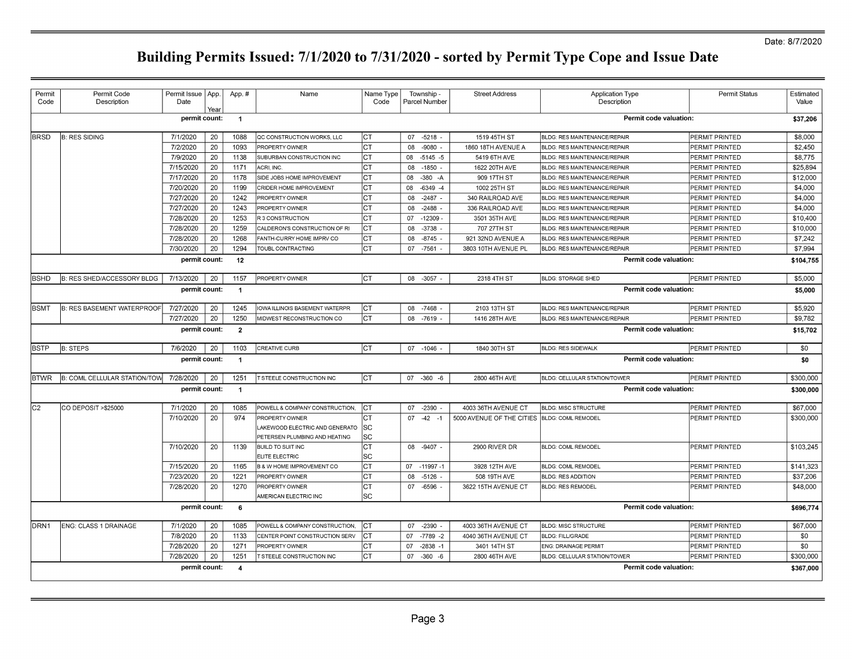| Permit<br>Code   | Permit Code<br>Description        | Permit Issue   App.<br>Date | Year | App.#                   | Name                                 | Name Type<br>Code | Township -<br>Parcel Number | <b>Street Address</b>                        | <b>Application Type</b><br>Description | Permit Status          | Estimated<br>Value |
|------------------|-----------------------------------|-----------------------------|------|-------------------------|--------------------------------------|-------------------|-----------------------------|----------------------------------------------|----------------------------------------|------------------------|--------------------|
|                  |                                   | permit count:               |      | $\overline{1}$          |                                      |                   |                             |                                              |                                        | Permit code valuation: | \$37,206           |
| <b>BRSD</b>      | <b>B: RES SIDING</b>              | 7/1/2020                    | 20   | 1088                    | QC CONSTRUCTION WORKS, LLC           | ICT               | 07 -5218 -                  | 1519 45TH ST                                 | <b>BLDG: RES MAINTENANCE/REPAIR</b>    | PERMIT PRINTED         | \$8,000            |
|                  |                                   | 7/2/2020                    | 20   | 1093                    | PROPERTY OWNER                       | Iст               | 08<br>$-9080$               | 1860 18TH AVENUE A                           | <b>BLDG: RES MAINTENANCE/REPAIR</b>    | PERMIT PRINTED         | \$2,450            |
|                  |                                   | 7/9/2020                    | 20   | 1138                    | SUBURBAN CONSTRUCTION INC            | Iст               | $-5145 - 5$<br>08           | 5419 6TH AVE                                 | BLDG: RES MAINTENANCE/REPAIR           | PERMIT PRINTED         | \$8,775            |
|                  |                                   | 7/15/2020                   | 20   | 1171                    | ACRI, INC.                           | Iст               | $-1850$ -<br>08             | 1622 20TH AVE                                | BLDG: RES MAINTENANCE/REPAIR           | PERMIT PRINTED         | \$25,894           |
|                  |                                   | 7/17/2020                   | 20   | 1178                    | SIDE JOBS HOME IMPROVEMENT           | lст               | 08<br>$-380 - A$            | 909 17TH ST                                  | BLDG: RES MAINTENANCE/REPAIR           | PERMIT PRINTED         | \$12,000           |
|                  |                                   | 7/20/2020                   | 20   | 1199                    | CRIDER HOME IMPROVEMENT              | Iст               | 08<br>$-6349 - 4$           | 1002 25TH ST                                 | BLDG: RES MAINTENANCE/REPAIR           | PERMIT PRINTED         | \$4,000            |
|                  |                                   | 7/27/2020                   | 20   | 1242                    | PROPERTY OWNER                       | Iст               | 08<br>$-2487$               | 340 RAILROAD AVE                             | BLDG: RES MAINTENANCE/REPAIR           | PERMIT PRINTED         | \$4,000            |
|                  |                                   | 7/27/2020                   | 20   | 1243                    | PROPERTY OWNER                       | Iст               | $-2488$<br>08               | 336 RAILROAD AVE                             | BLDG: RES MAINTENANCE/REPAIR           | PERMIT PRINTED         | \$4,000            |
|                  |                                   | 7/28/2020                   | 20   | 1253                    | R 3 CONSTRUCTION                     | lст               | 07<br>-12309                | 3501 35TH AVE                                | BLDG: RES MAINTENANCE/REPAIR           | PERMIT PRINTED         | \$10,400           |
|                  |                                   | 7/28/2020                   | 20   | 1259                    | CALDERON'S CONSTRUCTION OF RI        | Iст               | $-3738$<br>08               | 707 27TH ST                                  | BLDG: RES MAINTENANCE/REPAIR           | PERMIT PRINTED         | \$10,000           |
|                  |                                   | 7/28/2020                   | 20   | 1268                    | FANTH-CURRY HOME IMPRV CO            | Iст               | $-8745$<br>08               | 921 32ND AVENUE A                            | BLDG: RES MAINTENANCE/REPAIR           | PERMIT PRINTED         | \$7,242            |
|                  |                                   | 7/30/2020                   | 20   | 1294                    | TOUBL CONTRACTING                    | Іст               | $-7561$<br>07               | 3803 10TH AVENUE PL                          | <b>BLDG: RES MAINTENANCE/REPAIR</b>    | PERMIT PRINTED         | \$7,994            |
|                  |                                   | permit count:               |      | 12                      |                                      |                   |                             |                                              |                                        | Permit code valuation: | \$104,755          |
| <b>BSHD</b>      | B: RES SHED/ACCESSORY BLDG        | 7/13/2020                   | 20   | 1157                    | PROPERTY OWNER                       | lст               | 08 -3057                    | 2318 4TH ST                                  | <b>BLDG: STORAGE SHED</b>              | PERMIT PRINTED         | \$5,000            |
|                  |                                   | permit count:               |      | $\overline{1}$          |                                      |                   |                             |                                              |                                        | Permit code valuation: | \$5,000            |
| <b>BSMT</b>      | <b>B: RES BASEMENT WATERPROOF</b> | 7/27/2020                   | 20   | 1245                    | <b>OWA ILLINOIS BASEMENT WATERPR</b> | Iст               | $-7468$<br>08               | 2103 13TH ST                                 | BLDG: RES MAINTENANCE/REPAIR           | PERMIT PRINTED         | \$5,920            |
|                  |                                   | 7/27/2020                   | 20   | 1250                    | <b>MIDWEST RECONSTRUCTION CO</b>     | IcT.              | 08<br>-7619                 | 1416 28TH AVE                                | <b>BLDG: RES MAINTENANCE/REPAIR</b>    | PERMIT PRINTED         | \$9,782            |
|                  |                                   | permit count:               |      | $\overline{2}$          |                                      |                   |                             |                                              |                                        | Permit code valuation: | \$15,702           |
| <b>BSTP</b>      | <b>B: STEPS</b>                   | 7/6/2020                    | 20   | 1103                    | CREATIVE CURB                        | lст               | 07 -1046                    | 1840 30TH ST                                 | <b>BLDG: RES SIDEWALK</b>              | PERMIT PRINTED         | \$0                |
|                  |                                   | permit count:               |      | $\overline{1}$          |                                      |                   |                             |                                              |                                        | Permit code valuation: | \$0                |
| <b>BTWR</b>      | B: COML CELLULAR STATION/TOW      | 7/28/2020                   | 20   | 1251                    | T STEELE CONSTRUCTION INC            | ICT.              | 07 -360<br>$-6$             | 2800 46TH AVE                                | BLDG: CELLULAR STATION/TOWER           | PERMIT PRINTED         | \$300,000          |
|                  |                                   | permit count:               |      | $\overline{1}$          |                                      |                   |                             |                                              |                                        | Permit code valuation: | \$300,000          |
| C <sub>2</sub>   | CO DEPOSIT >\$25000               | 7/1/2020                    | 20   | 1085                    | POWELL & COMPANY CONSTRUCTION,       | Iст               | 07 -2390                    | 4003 36TH AVENUE CT                          | <b>BLDG: MISC STRUCTURE</b>            | <b>PERMIT PRINTED</b>  | \$67,000           |
|                  |                                   | 7/10/2020                   | 20   | 974                     | <b>PROPERTY OWNER</b>                | ICT.              | $07 -42 -1$                 | 5000 AVENUE OF THE CITIES BLDG: COML REMODEL |                                        | PERMIT PRINTED         | \$300,000          |
|                  |                                   |                             |      |                         | LAKEWOOD ELECTRIC AND GENERATO       | SC                |                             |                                              |                                        |                        |                    |
|                  |                                   |                             |      |                         | PETERSEN PLUMBING AND HEATING        | lsc               |                             |                                              |                                        |                        |                    |
|                  |                                   | 7/10/2020                   | 20   | 1139                    | <b>BUILD TO SUIT INC</b>             | Iст               | 08 -9407 -                  | 2900 RIVER DR                                | <b>BLDG: COML REMODEL</b>              | PERMIT PRINTED         | \$103,245          |
|                  |                                   |                             |      |                         | <b>ELITE ELECTRIC</b>                | lsc               |                             |                                              |                                        |                        |                    |
|                  |                                   | 7/15/2020                   | 20   | 1165                    | <b>B &amp; W HOME IMPROVEMENT CO</b> | Iст               | 07 -11997 -1                | 3928 12TH AVE                                | <b>BLDG: COML REMODEL</b>              | PERMIT PRINTED         | \$141,323          |
|                  |                                   | 7/23/2020                   | 20   | 1221                    | PROPERTY OWNER                       | Iст               | $-5126$ -<br>08             | 508 19TH AVE                                 | <b>BLDG: RES ADDITION</b>              | PERMIT PRINTED         | \$37,206           |
|                  |                                   | 7/28/2020                   | 20   | 1270                    | PROPERTY OWNER                       | Іст               | 07 -6596                    | 3622 15TH AVENUE CT                          | <b>BLDG: RES REMODEL</b>               | PERMIT PRINTED         | \$48,000           |
|                  |                                   |                             |      |                         | AMERICAN ELECTRIC INC                | SC                |                             |                                              |                                        |                        |                    |
|                  |                                   | permit count:               |      | 6                       |                                      |                   |                             |                                              |                                        | Permit code valuation: | \$696,774          |
| DRN <sub>1</sub> | <b>ENG: CLASS 1 DRAINAGE</b>      | 7/1/2020                    | 20   | 1085                    | POWELL & COMPANY CONSTRUCTION,       | Iст               | -2390<br>07                 | 4003 36TH AVENUE CT                          | <b>BLDG: MISC STRUCTURE</b>            | PERMIT PRINTED         | \$67,000           |
|                  |                                   | 7/8/2020                    | 20   | 1133                    | CENTER POINT CONSTRUCTION SERV       | Iст               | $-7789 - 2$<br>07           | 4040 36TH AVENUE CT                          | <b>BLDG: FILL/GRADE</b>                | PERMIT PRINTED         | \$0                |
|                  |                                   | 7/28/2020                   | 20   | 1271                    | PROPERTY OWNER                       | lст               | $-2838 - 1$<br>07           | 3401 14TH ST                                 | ENG: DRAINAGE PERMIT                   | PERMIT PRINTED         | \$0                |
|                  |                                   | 7/28/2020                   | 20   | 1251                    | T STEELE CONSTRUCTION INC            | CT                | 07<br>$-360 - 6$            | 2800 46TH AVE                                | BLDG: CELLULAR STATION/TOWER           | PERMIT PRINTED         | \$300,000          |
|                  |                                   | permit count:               |      | $\overline{\mathbf{4}}$ |                                      |                   |                             |                                              |                                        | Permit code valuation: | \$367,000          |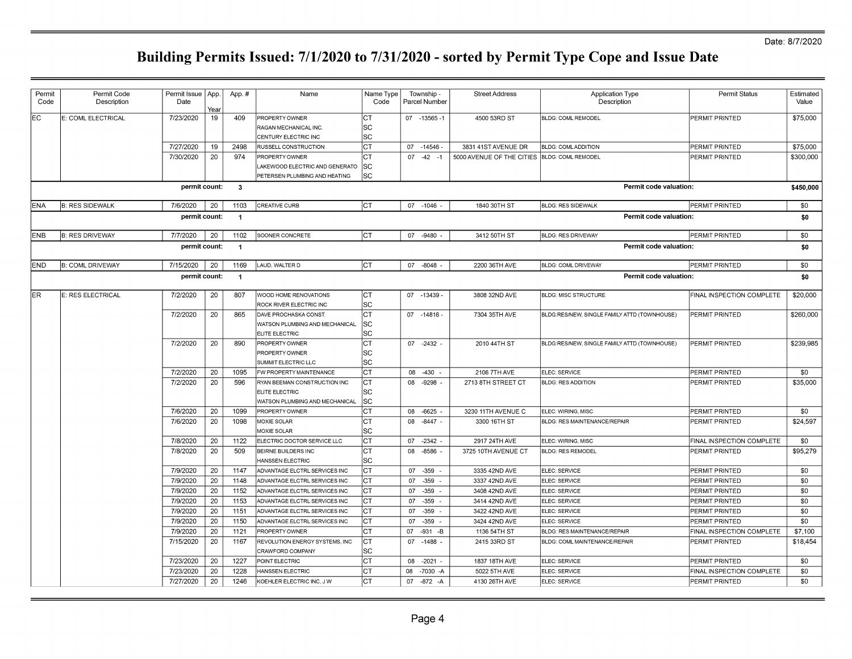| Permit<br>Code | Permit Code<br>Description | Permit Issue   App.<br>Date | Yeaı | App.#          | Name                                                                   | Name Type<br>Code       |    | Township -<br>Parcel Number | <b>Street Address</b>                        | <b>Application Type</b><br>Description       | <b>Permit Status</b>      | Estimated<br>Value |
|----------------|----------------------------|-----------------------------|------|----------------|------------------------------------------------------------------------|-------------------------|----|-----------------------------|----------------------------------------------|----------------------------------------------|---------------------------|--------------------|
| EC.            | E: COML ELECTRICAL         | 7/23/2020                   | 19   | 409            | <b>PROPERTY OWNER</b><br>RAGAN MECHANICAL INC.<br>CENTURY ELECTRIC INC | Iст<br>lSC<br><b>SC</b> |    | 07 -13565 -1                | 4500 53RD ST                                 | <b>BLDG: COML REMODEL</b>                    | PERMIT PRINTED            | \$75,000           |
|                |                            | 7/27/2020                   | 19   | 2498           | <b>RUSSELL CONSTRUCTION</b>                                            | Iст                     |    | 07 -14546                   | 3831 41ST AVENUE DR                          | <b>BLDG: COMLADDITION</b>                    | PERMIT PRINTED            | \$75,000           |
|                |                            | 7/30/2020                   | 20   | 974            | <b>PROPERTY OWNER</b>                                                  | Iст                     |    | $07 -42 -1$                 | 5000 AVENUE OF THE CITIES BLDG: COML REMODEL |                                              | PERMIT PRINTED            | \$300,000          |
|                |                            |                             |      |                | LAKEWOOD ELECTRIC AND GENERATO                                         | lsc                     |    |                             |                                              |                                              |                           |                    |
|                |                            |                             |      |                | PETERSEN PLUMBING AND HEATING                                          | <b>SC</b>               |    |                             |                                              |                                              |                           |                    |
|                |                            | permit count:               |      | $\mathbf{3}$   |                                                                        |                         |    |                             |                                              | Permit code valuation:                       |                           | \$450,000          |
| <b>ENA</b>     | <b>B: RES SIDEWALK</b>     | 7/6/2020                    | 20   | 1103           | <b>CREATIVE CURB</b>                                                   | Iст                     |    | 07 -1046                    | 1840 30TH ST                                 | <b>BLDG: RES SIDEWALK</b>                    | PERMIT PRINTED            | \$0                |
|                |                            | permit count:               |      | $\overline{1}$ |                                                                        |                         |    |                             |                                              | Permit code valuation:                       |                           | \$0                |
| <b>ENB</b>     | <b>B: RES DRIVEWAY</b>     | 7/7/2020                    | 20   | 1102           | SOONER CONCRETE                                                        | Iст                     |    | 07 -9480 -                  | 3412 50TH ST                                 | <b>BLDG: RES DRIVEWAY</b>                    | PERMIT PRINTED            | \$0                |
|                |                            | permit count:               |      | $\overline{1}$ |                                                                        |                         |    |                             |                                              | Permit code valuation:                       |                           | \$0                |
| END.           | <b>B: COML DRIVEWAY</b>    | 7/15/2020                   | 20   | 1169           | LAUD, WALTER D                                                         | Iст                     |    | 07 -8048 -                  | 2200 36TH AVE                                | <b>BLDG: COML DRIVEWAY</b>                   | PERMIT PRINTED            | \$0                |
|                |                            | permit count:               |      | $\overline{1}$ |                                                                        |                         |    |                             |                                              | <b>Permit code valuation:</b>                |                           | \$0                |
|                |                            |                             |      |                |                                                                        |                         |    |                             |                                              |                                              |                           |                    |
| ER.            | E: RES ELECTRICAL          | 7/2/2020                    | 20   | 807            | WOOD HOME RENOVATIONS                                                  | Iст                     |    | 07 -13439                   | 3808 32ND AVE                                | <b>BLDG: MISC STRUCTURE</b>                  | FINAL INSPECTION COMPLETE | \$20,000           |
|                |                            |                             |      |                | ROCK RIVER ELECTRIC INC                                                | lsc                     |    |                             |                                              |                                              |                           |                    |
|                |                            | 7/2/2020                    | 20   | 865            | DAVE PROCHASKA CONST.                                                  | lст                     |    | $07 - 14816$                | 7304 35TH AVE                                | BLDG:RES/NEW, SINGLE FAMILY ATTD (TOWNHOUSE) | PERMIT PRINTED            | \$260,000          |
|                |                            |                             |      |                | WATSON PLUMBING AND MECHANICAL<br><b>ELITE ELECTRIC</b>                | lsc<br><b>SC</b>        |    |                             |                                              |                                              |                           |                    |
|                |                            | 7/2/2020                    | 20   | 890            | <b>PROPERTY OWNER</b>                                                  | СT                      |    | 07 -2432 -                  | 2010 44TH ST                                 | BLDG:RES/NEW, SINGLE FAMILY ATTD (TOWNHOUSE) | PERMIT PRINTED            | \$239,985          |
|                |                            |                             |      |                | <b>PROPERTY OWNER</b>                                                  | <b>SC</b>               |    |                             |                                              |                                              |                           |                    |
|                |                            |                             |      |                | SUMMIT ELECTRIC LLC                                                    | lsc                     |    |                             |                                              |                                              |                           |                    |
|                |                            | 7/2/2020                    | 20   | 1095           | FW PROPERTY MAINTENANCE                                                | Iст                     |    | 08 -430                     | 2106 7TH AVE                                 | ELEC: SERVICE                                | PERMIT PRINTED            | \$0                |
|                |                            | 7/2/2020                    | 20   | 596            | RYAN BEEMAN CONSTRUCTION INC                                           | IСТ                     |    | 08 -9298                    | 2713 8TH STREET CT                           | <b>BLDG: RES ADDITION</b>                    | PERMIT PRINTED            | \$35,000           |
|                |                            |                             |      |                | <b>ELITE ELECTRIC</b>                                                  | SC                      |    |                             |                                              |                                              |                           |                    |
|                |                            |                             |      |                | WATSON PLUMBING AND MECHANICAL                                         | <b>SC</b>               |    |                             |                                              |                                              |                           |                    |
|                |                            | 7/6/2020                    | 20   | 1099           | PROPERTY OWNER                                                         | Iст                     |    | 08 -6625                    | 3230 11TH AVENUE C                           | ELEC: WIRING, MISC                           | PERMIT PRINTED            | \$0                |
|                |                            | 7/6/2020                    | 20   | 1098           | MOXIE SOLAR                                                            | lст                     |    | 08 -8447 -                  | 3300 16TH ST                                 | <b>BLDG: RES MAINTENANCE/REPAIR</b>          | PERMIT PRINTED            | \$24,597           |
|                |                            |                             |      |                | MOXIE SOLAR                                                            | lsc                     |    |                             |                                              |                                              |                           |                    |
|                |                            | 7/8/2020                    | 20   | 1122           | ELECTRIC DOCTOR SERVICE LLC                                            | Iст                     |    | 07 -2342                    | 2917 24TH AVE                                | ELEC: WIRING, MISC                           | FINAL INSPECTION COMPLETE | \$0                |
|                |                            | 7/8/2020                    | 20   | 509            | <b>BEIRNE BUILDERS INC</b><br><b>HANSSEN ELECTRIC</b>                  | lст<br><b>SC</b>        | 08 | -8586                       | 3725 10TH AVENUE CT                          | <b>BLDG: RES REMODEL</b>                     | PERMIT PRINTED            | \$95,279           |
|                |                            | 7/9/2020                    | 20   | 1147           | ADVANTAGE ELCTRL SERVICES INC                                          | Iст                     |    | 07 -359                     | 3335 42ND AVE                                | ELEC: SERVICE                                | PERMIT PRINTED            | \$0                |
|                |                            | 7/9/2020                    | 20   | 1148           | ADVANTAGE ELCTRL SERVICES INC                                          | Iст                     | 07 | $-359$                      | 3337 42ND AVE                                | ELEC: SERVICE                                | PERMIT PRINTED            | \$0                |
|                |                            | 7/9/2020                    | 20   | 1152           | ADVANTAGE ELCTRL SERVICES INC                                          | lст                     | 07 | $-359$                      | 3408 42ND AVE                                | ELEC: SERVICE                                | PERMIT PRINTED            | \$0                |
|                |                            | 7/9/2020                    | 20   | 1153           | ADVANTAGE ELCTRL SERVICES INC                                          | Iст                     | 07 | $-359$                      | 3414 42ND AVE                                | ELEC: SERVICE                                | PERMIT PRINTED            | \$0                |
|                |                            | 7/9/2020                    | 20   | 1151           | ADVANTAGE ELCTRL SERVICES INC                                          | Iст                     | 07 | $-359$                      | 3422 42ND AVE                                | ELEC: SERVICE                                | PERMIT PRINTED            | \$0                |
|                |                            | 7/9/2020                    | 20   | 1150           | ADVANTAGE ELCTRL SERVICES INC                                          | lст                     | 07 | $-359$                      | 3424 42ND AVE                                | ELEC: SERVICE                                | PERMIT PRINTED            | \$0                |
|                |                            | 7/9/2020                    | 20   | 1121           | <b>PROPERTY OWNER</b>                                                  | Iст                     | 07 | $-931 - B$                  | 1136 54TH ST                                 | BLDG: RES MAINTENANCE/REPAIR                 | FINAL INSPECTION COMPLETE | \$7,100            |
|                |                            | 7/15/2020                   | 20   | 1167           | REVOLUTION ENERGY SYSTEMS, INC                                         | Iст                     |    | 07 -1488                    | 2415 33RD ST                                 | BLDG: COML MAINTENANCE/REPAIR                | PERMIT PRINTED            | \$18,454           |
|                |                            |                             |      |                | CRAWFORD COMPANY                                                       | SC                      |    |                             |                                              |                                              |                           |                    |
|                |                            | 7/23/2020                   | 20   | 1227           | POINT ELECTRIC                                                         | Iст                     |    | 08 -2021 -                  | 1837 18TH AVE                                | ELEC: SERVICE                                | PERMIT PRINTED            | \$0                |
|                |                            | 7/23/2020                   | 20   | 1228           | HANSSEN ELECTRIC                                                       | Iст                     | 08 | $-7030 - A$                 | 5022 5TH AVE                                 | ELEC: SERVICE                                | FINAL INSPECTION COMPLETE | \$0                |
|                |                            | 7/27/2020                   | 20   | 1246           | KOEHLER ELECTRIC INC, J W                                              | IСТ                     |    | 07 -872 -A                  | 4130 26TH AVE                                | ELEC: SERVICE                                | PERMIT PRINTED            | \$0                |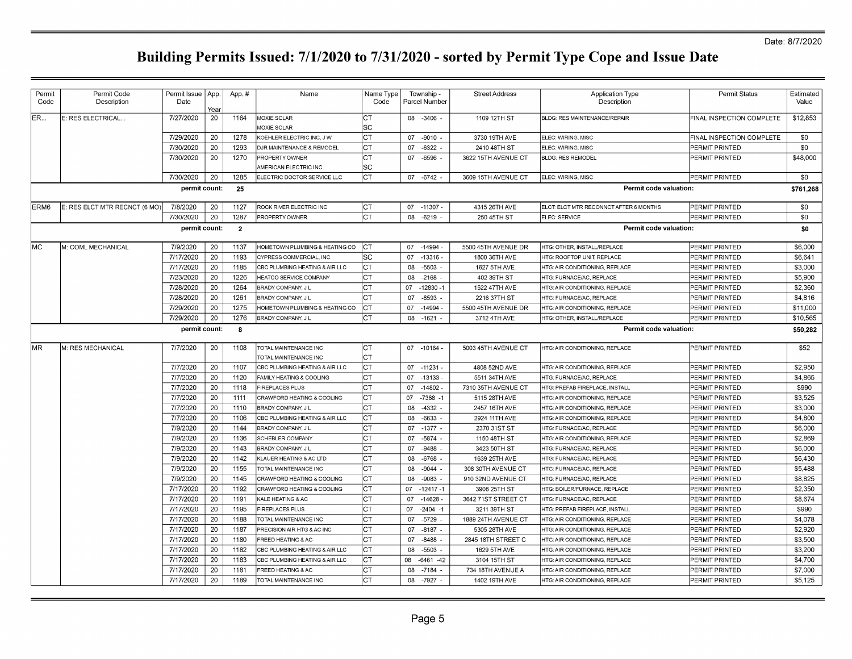| Permit<br>Code   | Permit Code<br>Description    | Permit Issue   App.<br>Date | Year | App.#          | Name                                     | Name Type<br>Code |    | Township -<br>Parcel Number | <b>Street Address</b> | <b>Application Type</b><br>Description | <b>Permit Status</b>      | Estimated<br>Value |
|------------------|-------------------------------|-----------------------------|------|----------------|------------------------------------------|-------------------|----|-----------------------------|-----------------------|----------------------------------------|---------------------------|--------------------|
| ER               | E: RES ELECTRICAL             | 7/27/2020                   | 20   | 1164           | <b>MOXIE SOLAR</b><br><b>MOXIE SOLAR</b> | Iст<br>lsc        |    | 08 -3406 -                  | 1109 12TH ST          | <b>BLDG: RES MAINTENANCE/REPAIR</b>    | FINAL INSPECTION COMPLETE | \$12,853           |
|                  |                               | 7/29/2020                   | 20   | 1278           | KOEHLER ELECTRIC INC, J W                | lст               |    | 07 -9010                    | 3730 19TH AVE         | ELEC: WIRING, MISC                     | FINAL INSPECTION COMPLETE | \$0                |
|                  |                               | 7/30/2020                   | 20   | 1293           | DJR MAINTENANCE & REMODEL                | Іст               | 07 | $-6322$                     | 2410 48TH ST          | ELEC: WIRING, MISC                     | PERMIT PRINTED            | \$0                |
|                  |                               | 7/30/2020                   | 20   | 1270           | PROPERTY OWNER                           | lст               | 07 | $-6596$                     | 3622 15TH AVENUE CT   | <b>BLDG: RES REMODEL</b>               | PERMIT PRINTED            | \$48,000           |
|                  |                               |                             |      |                | AMERICAN ELECTRIC INC                    | lsc               |    |                             |                       |                                        |                           |                    |
|                  |                               | 7/30/2020                   | 20   | 1285           | ELECTRIC DOCTOR SERVICE LLC              | ICT.              |    | 07 - 6742                   | 3609 15TH AVENUE CT   | ELEC: WIRING, MISC                     | PERMIT PRINTED            | \$0                |
|                  |                               | permit count:               |      | 25             |                                          |                   |    |                             |                       | Permit code valuation:                 |                           | \$761,268          |
| ERM <sub>6</sub> | E: RES ELCT MTR RECNCT (6 MO) | 7/8/2020                    | 20   | 1127           | ROCK RIVER ELECTRIC INC                  | Iст               |    | 07 -11307                   | 4315 26TH AVE         | ELCT: ELCT MTR RECONNCT AFTER 6 MONTHS | PERMIT PRINTED            | \$0                |
|                  |                               | 7/30/2020                   | 20   | 1287           | PROPERTY OWNER                           | lст               | 08 | $-6219$                     | 250 45TH ST           | ELEC: SERVICE                          | PERMIT PRINTED            | \$0                |
|                  |                               | permit count:               |      | $\overline{2}$ |                                          |                   |    |                             |                       | Permit code valuation:                 |                           | \$0                |
| MC               | M: COML MECHANICAL            | 7/9/2020                    | 20   | 1137           | HOMETOWN PLUMBING & HEATING CO           | ICT               |    | 07 -14994                   | 5500 45TH AVENUE DR   | HTG: OTHER, INSTALL/REPLACE            | PERMIT PRINTED            | \$6,000            |
|                  |                               | 7/17/2020                   | 20   | 1193           | CYPRESS COMMERCIAL, INC                  | lsc               | 07 | $-13316$                    | 1800 36TH AVE         | HTG: ROOFTOP UNIT, REPLACE             | PERMIT PRINTED            | \$6,641            |
|                  |                               | 7/17/2020                   | 20   | 1185           | CBC PLUMBING HEATING & AIR LLC           | lст               | 08 | $-5503$                     | 1627 5TH AVE          | HTG: AIR CONDITIONING, REPLACE         | PERMIT PRINTED            | \$3,000            |
|                  |                               | 7/23/2020                   | 20   | 1226           | <b>HEATCO SERVICE COMPANY</b>            | ICT.              | 08 | $-2168$                     | 402 39TH ST           | HTG: FURNACE/AC, REPLACE               | PERMIT PRINTED            | \$5,900            |
|                  |                               | 7/28/2020                   | 20   | 1264           | BRADY COMPANY, J L                       | Iст               | 07 | $-12830 - 1$                | 1522 47TH AVE         | HTG: AIR CONDITIONING, REPLACE         | PERMIT PRINTED            | \$2,360            |
|                  |                               | 7/28/2020                   | 20   | 1261           | BRADY COMPANY, J L                       | Iст               | 07 | $-8593$                     | 2216 37TH ST          | HTG: FURNACE/AC, REPLACE               | PERMIT PRINTED            | \$4,816            |
|                  |                               | 7/29/2020                   | 20   | 1275           | HOMETOWN PLUMBING & HEATING CO           | lcт.              | 07 | $-14994$                    | 5500 45TH AVENUE DR   | <b>HTG: AIR CONDITIONING, REPLACE</b>  | PERMIT PRINTED            | \$11,000           |
|                  |                               | 7/29/2020                   | 20   | 1276           | BRADY COMPANY, J L                       | Іст               | 08 | $-1621$                     | 3712 4TH AVE          | HTG: OTHER, INSTALL/REPLACE            | PERMIT PRINTED            | \$10,565           |
|                  |                               | permit count:               |      | 8              |                                          |                   |    |                             |                       | <b>Permit code valuation:</b>          |                           | \$50,282           |
| IMR.             | M: RES MECHANICAL             | 7/7/2020                    | 20   | 1108           | TOTAL MAINTENANCE INC                    | Iст               |    | 07 -10164                   | 5003 45TH AVENUE CT   | HTG: AIR CONDITIONING, REPLACE         | PERMIT PRINTED            | \$52               |
|                  |                               |                             |      |                | TOTAL MAINTENANCE INC                    | Iст               |    |                             |                       |                                        |                           |                    |
|                  |                               | 7/7/2020                    | 20   | 1107           | CBC PLUMBING HEATING & AIR LLC           | Iст               |    | 07 - 11231                  | 4808 52ND AVE         | HTG: AIR CONDITIONING, REPLACE         | PERMIT PRINTED            | \$2,950            |
|                  |                               | 7/7/2020                    | 20   | 1120           | FAMILY HEATING & COOLING                 | Iст               | 07 | $-13133$                    | 5511 34TH AVE         | HTG: FURNACE/AC, REPLACE               | PERMIT PRINTED            | \$4,865            |
|                  |                               | 7/7/2020                    | 20   | 1118           | <b>FIREPLACES PLUS</b>                   | CT                | 07 | $-14802 -$                  | 7310 35TH AVENUE CT   | HTG: PREFAB FIREPLACE, INSTALL         | PERMIT PRINTED            | \$990              |
|                  |                               | 7/7/2020                    | 20   | 1111           | CRAWFORD HEATING & COOLING               | CT                | 07 | $-7368 - 1$                 | 5115 28TH AVE         | HTG: AIR CONDITIONING, REPLACE         | PERMIT PRINTED            | \$3,525            |
|                  |                               | 7/7/2020                    | 20   | 1110           | BRADY COMPANY, J L                       | Iст               | 08 | $-4332$ .                   | 2457 16TH AVE         | HTG: AIR CONDITIONING, REPLACE         | PERMIT PRINTED            | \$3,000            |
|                  |                               | 7/7/2020                    | 20   | 1106           | CBC PLUMBING HEATING & AIR LLC           | Iст               | 08 | -6633                       | 2924 11TH AVE         | HTG: AIR CONDITIONING, REPLACE         | PERMIT PRINTED            | \$4,800            |
|                  |                               | 7/9/2020                    | 20   | 1144           | BRADY COMPANY, J L                       | Iст               | 07 | $-1377 -$                   | 2370 31ST ST          | HTG: FURNACE/AC. REPLACE               | PERMIT PRINTED            | \$6,000            |
|                  |                               | 7/9/2020                    | 20   | 1136           | SCHEBLER COMPANY                         | Iст               | 07 | -5874                       | 1150 48TH ST          | HTG: AIR CONDITIONING, REPLACE         | PERMIT PRINTED            | \$2,869            |
|                  |                               | 7/9/2020                    | 20   | 1143           | BRADY COMPANY, J L                       | Iст               | 07 | -9488                       | 3423 50TH ST          | HTG: FURNACE/AC, REPLACE               | PERMIT PRINTED            | \$6,000            |
|                  |                               | 7/9/2020                    | 20   | 1142           | KLAUER HEATING & AC LTD                  | lст               | 08 | -6768                       | 1639 25TH AVE         | HTG: FURNACE/AC. REPLACE               | PERMIT PRINTED            | \$6,430            |
|                  |                               | 7/9/2020                    | 20   | 1155           | TOTAL MAINTENANCE INC                    | Iст               | 08 | $-9044$ .                   | 308 30TH AVENUE CT    | HTG: FURNACE/AC, REPLACE               | PERMIT PRINTED            | \$5,488            |
|                  |                               | 7/9/2020                    | 20   | 1145           | CRAWFORD HEATING & COOLING               | Iст               | 08 | $-9083$                     | 910 32ND AVENUE CT    | HTG: FURNACE/AC, REPLACE               | PERMIT PRINTED            | \$8,825            |
|                  |                               | 7/17/2020                   | 20   | 1192           | CRAWFORD HEATING & COOLING               | lст               | 07 | $-12417 - 1$                | 3908 25TH ST          | HTG: BOILER/FURNACE, REPLACE           | PERMIT PRINTED            | \$2,350            |
|                  |                               | 7/17/2020                   | 20   | 1191           | KALE HEATING & AC                        | lст               | 07 | $-14628$                    | 3642 71ST STREET CT   | HTG: FURNACE/AC, REPLACE               | PERMIT PRINTED            | \$8,674            |
|                  |                               | 7/17/2020                   | 20   | 1195           | <b>FIREPLACES PLUS</b>                   | lст               | 07 | $-2404 - 1$                 | 3211 39TH ST          | HTG: PREFAB FIREPLACE. INSTALL         | PERMIT PRINTED            | \$990              |
|                  |                               | 7/17/2020                   | 20   | 1188           | TOTAL MAINTENANCE INC                    | Iст               | 07 | $-5729$                     | 1889 24TH AVENUE CT   | <b>HTG: AIR CONDITIONING, REPLACE</b>  | PERMIT PRINTED            | \$4.078            |
|                  |                               | 7/17/2020                   | 20   | 1187           | PRECISION AIR HTG & AC INC               | lст               | 07 | $-8187$                     | 5305 28TH AVE         | <b>HTG: AIR CONDITIONING, REPLACE</b>  | PERMIT PRINTED            | \$2,920            |
|                  |                               | 7/17/2020                   | 20   | 1180           | <b>FREED HEATING &amp; AC</b>            | lст               | 07 | $-8488$                     | 2845 18TH STREET C    | HTG: AIR CONDITIONING, REPLACE         | PERMIT PRINTED            | \$3,500            |
|                  |                               | 7/17/2020                   | 20   | 1182           | CBC PLUMBING HEATING & AIR LLC           | lст               | 08 | $-5503$                     | 1629 5TH AVE          | HTG: AIR CONDITIONING, REPLACE         | PERMIT PRINTED            | \$3,200            |
|                  |                               | 7/17/2020                   | 20   | 1183           | CBC PLUMBING HEATING & AIR LLC           | lст               | 08 | $-6461 - 42$                | 3104 15TH ST          | HTG: AIR CONDITIONING, REPLACE         | PERMIT PRINTED            | \$4,700            |
|                  |                               | 7/17/2020                   | 20   | 1181           | FREED HEATING & AC                       | Iст               | 08 | $-7184$                     | 734 18TH AVENUE A     | HTG: AIR CONDITIONING, REPLACE         | PERMIT PRINTED            | \$7,000            |
|                  |                               | 7/17/2020                   | 20   | 1189           | TOTAL MAINTENANCE INC                    | Iст               |    | 08 -7927                    | 1402 19TH AVE         | HTG: AIR CONDITIONING, REPLACE         | PERMIT PRINTED            | \$5,125            |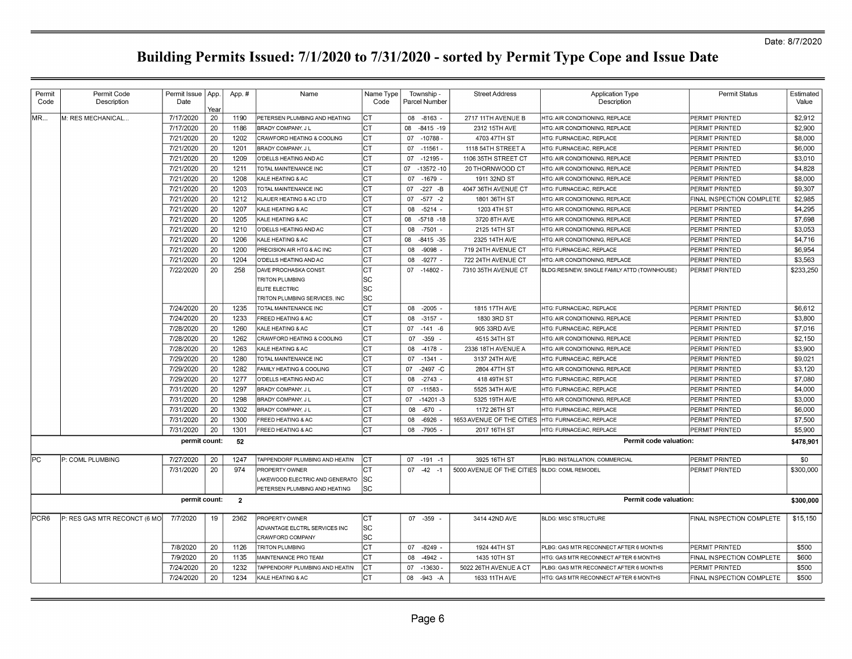| Permit<br>Code   | Permit Code<br>Description   | Permit Issue   App.<br>Date | Year | App.#          | Name                           | Name Type<br>Code |    | Township -<br>Parcel Number | <b>Street Address</b>                        | <b>Application Type</b><br>Description       | <b>Permit Status</b>      | Estimated<br>Value |
|------------------|------------------------------|-----------------------------|------|----------------|--------------------------------|-------------------|----|-----------------------------|----------------------------------------------|----------------------------------------------|---------------------------|--------------------|
| MR               | M: RES MECHANICAL.           | 7/17/2020                   | 20   | 1190           | PETERSEN PLUMBING AND HEATING  | Iст               |    | 08 -8163                    | 2717 11TH AVENUE B                           | HTG: AIR CONDITIONING, REPLACE               | PERMIT PRINTED            | \$2,912            |
|                  |                              | 7/17/2020                   | 20   | 1186           | BRADY COMPANY, J L             | lст               | 08 | $-8415 - 19$                | 2312 15TH AVE                                | HTG: AIR CONDITIONING, REPLACE               | PERMIT PRINTED            | \$2,900            |
|                  |                              | 7/21/2020                   | 20   | 1202           | CRAWFORD HEATING & COOLING     | lст               | 07 | $-10788$                    | 4703 47TH ST                                 | HTG: FURNACE/AC, REPLACE                     | PERMIT PRINTED            | \$8,000            |
|                  |                              | 7/21/2020                   | 20   | 1201           | BRADY COMPANY, J L             | lст               | 07 | $-11561$                    | 1118 54TH STREET A                           | HTG: FURNACE/AC, REPLACE                     | PERMIT PRINTED            | \$6,000            |
|                  |                              | 7/21/2020                   | 20   | 1209           | O'DELLS HEATING AND AC         | Iст               | 07 | $-12195$                    | 1106 35TH STREET CT                          | HTG: AIR CONDITIONING, REPLACE               | PERMIT PRINTED            | \$3,010            |
|                  |                              | 7/21/2020                   | 20   | 1211           | TOTAL MAINTENANCE INC          | Іст               | 07 | $-13572 - 10$               | 20 THORNWOOD CT                              | HTG: AIR CONDITIONING, REPLACE               | PERMIT PRINTED            | \$4,828            |
|                  |                              | 7/21/2020                   | 20   | 1208           | KALE HEATING & AC              | lст               | 07 | $-1679$                     | 1911 32ND ST                                 | HTG: AIR CONDITIONING, REPLACE               | PERMIT PRINTED            | \$8,000            |
|                  |                              | 7/21/2020                   | 20   | 1203           | TOTAL MAINTENANCE INC          | Iст               | 07 | $-227 - B$                  | 4047 36TH AVENUE CT                          | HTG: FURNACE/AC, REPLACE                     | PERMIT PRINTED            | \$9.307            |
|                  |                              | 7/21/2020                   | 20   | 1212           | KLAUER HEATING & AC LTD        | Iст               | 07 | $-577 - 2$                  | 1801 36TH ST                                 | <b>HTG: AIR CONDITIONING, REPLACE</b>        | FINAL INSPECTION COMPLETE | \$2,985            |
|                  |                              | 7/21/2020                   | 20   | 1207           | KALE HEATING & AC              | Iст               | 08 | $-5214 -$                   | 1203 4TH ST                                  | <b>HTG: AIR CONDITIONING, REPLACE</b>        | PERMIT PRINTED            | \$4,295            |
|                  |                              | 7/21/2020                   | 20   | 1205           | KALE HEATING & AC              | Iст               | 08 | $-5718 - 18$                | 3720 8TH AVE                                 | <b>HTG: AIR CONDITIONING, REPLACE</b>        | PERMIT PRINTED            | \$7,698            |
|                  |                              | 7/21/2020                   | 20   | 1210           | O'DELLS HEATING AND AC         | Iст               | 08 | $-7501$                     | 2125 14TH ST                                 | HTG: AIR CONDITIONING, REPLACE               | PERMIT PRINTED            | \$3,053            |
|                  |                              | 7/21/2020                   | 20   | 1206           | KALE HEATING & AC              | Iст               | 80 | $-8415 - 35$                | 2325 14TH AVE                                | HTG: AIR CONDITIONING, REPLACE               | PERMIT PRINTED            | \$4,716            |
|                  |                              | 7/21/2020                   | 20   | 1200           | PRECISION AIR HTG & AC INC     | IСТ               | 08 | $-9098$                     | 719 24TH AVENUE CT                           | HTG: FURNACE/AC, REPLACE                     | PERMIT PRINTED            | \$6,954            |
|                  |                              | 7/21/2020                   | 20   | 1204           | O'DELLS HEATING AND AC         | Iст               | 08 | $-9277$                     | 722 24TH AVENUE CT                           | HTG: AIR CONDITIONING, REPLACE               | PERMIT PRINTED            | \$3,563            |
|                  |                              | 7/22/2020                   | 20   | 258            | DAVE PROCHASKA CONST           | lст               | 07 | $-14802 -$                  | 7310 35TH AVENUE CT                          | BLDG:RES/NEW, SINGLE FAMILY ATTD (TOWNHOUSE) | PERMIT PRINTED            | \$233,250          |
|                  |                              |                             |      |                | <b>TRITON PLUMBING</b>         | lsc               |    |                             |                                              |                                              |                           |                    |
|                  |                              |                             |      |                | ELITE ELECTRIC                 | lsc               |    |                             |                                              |                                              |                           |                    |
|                  |                              |                             |      |                | TRITON PLUMBING SERVICES, INC  | lsc               |    |                             |                                              |                                              |                           |                    |
|                  |                              | 7/24/2020                   | 20   | 1235           | TOTAL MAINTENANCE INC          | Iст               |    | 08 -2005                    | 1815 17TH AVE                                | HTG: FURNACE/AC, REPLACE                     | PERMIT PRINTED            | \$6,612            |
|                  |                              | 7/24/2020                   | 20   | 1233           | FREED HEATING & AC             | Iст               |    | 08 -3157 -                  | 1830 3RD ST                                  | HTG: AIR CONDITIONING, REPLACE               | PERMIT PRINTED            | \$3,800            |
|                  |                              | 7/28/2020                   | 20   | 1260           | KALE HEATING & AC              | Iст               |    | $07 - 141 - 6$              | 905 33RD AVE                                 | HTG: FURNACE/AC, REPLACE                     | PERMIT PRINTED            | \$7,016            |
|                  |                              | 7/28/2020                   | 20   | 1262           | CRAWFORD HEATING & COOLING     | Iст               | 07 | $-359$                      | 4515 34TH ST                                 | HTG: AIR CONDITIONING, REPLACE               | PERMIT PRINTED            | \$2,150            |
|                  |                              | 7/28/2020                   | 20   | 1263           | KALE HEATING & AC              | Iст               | 08 | $-4178$                     | 2336 18TH AVENUE A                           | HTG: AIR CONDITIONING, REPLACE               | PERMIT PRINTED            | \$3,900            |
|                  |                              | 7/29/2020                   | 20   | 1280           | TOTAL MAINTENANCE INC          | Iст               |    | 07 -1341 -                  | 3137 24TH AVE                                | HTG: FURNACE/AC, REPLACE                     | PERMIT PRINTED            | \$9,021            |
|                  |                              | 7/29/2020                   | 20   | 1282           | FAMILY HEATING & COOLING       | CT                | 07 | -2497 -C                    | 2804 47TH ST                                 | HTG: AIR CONDITIONING, REPLACE               | PERMIT PRINTED            | \$3,120            |
|                  |                              | 7/29/2020                   | 20   | 1277           | O'DELLS HEATING AND AC         | Iст               |    | 08 -2743 -                  | 418 49TH ST                                  | HTG: FURNACE/AC, REPLACE                     | PERMIT PRINTED            | \$7,080            |
|                  |                              | 7/31/2020                   | 20   | 1297           | BRADY COMPANY, J L             | Iст               | 07 | $-11583$                    | 5525 34TH AVE                                | HTG: FURNACE/AC, REPLACE                     | PERMIT PRINTED            | \$4,000            |
|                  |                              | 7/31/2020                   | 20   | 1298           | BRADY COMPANY, J L             | Iст               | 07 | $-14201 - 3$                | 5325 19TH AVE                                | HTG: AIR CONDITIONING, REPLACE               | PERMIT PRINTED            | \$3,000            |
|                  |                              | 7/31/2020                   | 20   | 1302           | <b>BRADY COMPANY, JL</b>       | Iст               | 08 | -670                        | 1172 26TH ST                                 | HTG: FURNACE/AC, REPLACE                     | PERMIT PRINTED            | \$6,000            |
|                  |                              | 7/31/2020                   | 20   | 1300           | FREED HEATING & AC             | Iст               | 08 | -6926                       | 1653 AVENUE OF THE CITIES                    | HTG: FURNACE/AC, REPLACE                     | PERMIT PRINTED            | \$7,500            |
|                  |                              | 7/31/2020                   | 20   | 1301           | FREED HEATING & AC             | Iст               |    | 08 -7905 -                  | 2017 16TH ST                                 | HTG: FURNACE/AC, REPLACE                     | PERMIT PRINTED            | \$5,900            |
|                  |                              | permit count:               |      | 52             |                                |                   |    |                             |                                              | <b>Permit code valuation:</b>                |                           | \$478,901          |
| PC               | P: COML PLUMBING             | 7/27/2020                   | 20   | 1247           | TAPPENDORF PLUMBING AND HEATIN | CT                |    | $07 - 191 - 1$              | 3925 16TH ST                                 | PLBG: INSTALLATION, COMMERCIAL               | PERMIT PRINTED            | \$0                |
|                  |                              | 7/31/2020                   | 20   | 974            | <b>PROPERTY OWNER</b>          | Iст               |    | $07 -42 -1$                 | 5000 AVENUE OF THE CITIES BLDG: COML REMODEL |                                              | PERMIT PRINTED            | \$300,000          |
|                  |                              |                             |      |                | AKEWOOD ELECTRIC AND GENERATO  | lsc               |    |                             |                                              |                                              |                           |                    |
|                  |                              |                             |      |                | PETERSEN PLUMBING AND HEATING  | lsc               |    |                             |                                              |                                              |                           |                    |
|                  |                              | permit count:               |      | $\overline{2}$ |                                |                   |    |                             |                                              | Permit code valuation:                       |                           | \$300,000          |
| PCR <sub>6</sub> | P: RES GAS MTR RECONCT (6 MO | 7/7/2020                    | 19   | 2362           | PROPERTY OWNER                 | Iст               |    | 07 -359                     | 3414 42ND AVE                                | <b>BLDG: MISC STRUCTURE</b>                  | FINAL INSPECTION COMPLETE | \$15,150           |
|                  |                              |                             |      |                | ADVANTAGE ELCTRL SERVICES INC  | lsc               |    |                             |                                              |                                              |                           |                    |
|                  |                              |                             |      |                | CRAWFORD COMPANY               | SC                |    |                             |                                              |                                              |                           |                    |
|                  |                              | 7/8/2020                    | 20   | 1126           | <b>TRITON PLUMBING</b>         | ∣ст               | 07 | $-8249$                     | 1924 44TH ST                                 | PLBG: GAS MTR RECONNECT AFTER 6 MONTHS       | PERMIT PRINTED            | \$500              |
|                  |                              | 7/9/2020                    | 20   | 1135           | MAINTENANCE PRO TEAM           | Iст               | 08 | -4942                       | 1435 10TH ST                                 | HTG: GAS MTR RECONNECT AFTER 6 MONTHS        | FINAL INSPECTION COMPLETE | \$600              |
|                  |                              | 7/24/2020                   | 20   | 1232           | TAPPENDORF PLUMBING AND HEATIN | Iст               | 07 | $-13630$                    | 5022 26TH AVENUE A CT                        | PLBG: GAS MTR RECONNECT AFTER 6 MONTHS       | PERMIT PRINTED            | \$500              |
|                  |                              | 7/24/2020                   | 20   | 1234           | KALE HEATING & AC              | Iст               |    | 08 - 943 - A                | 1633 11TH AVE                                | HTG: GAS MTR RECONNECT AFTER 6 MONTHS        | FINAL INSPECTION COMPLETE | \$500              |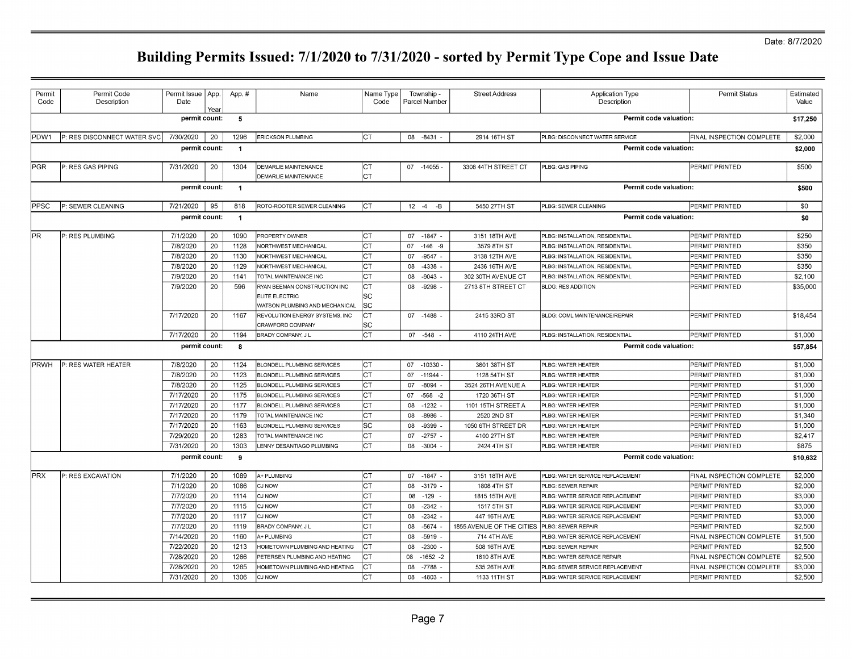### Date: 8/7/2020

| Permit<br>Code | Permit Code<br>Description  | Permit Issue   App.<br>Date | Yea | App.#          | Name                                                                             | Name Type<br>Code     |          | Township -<br>Parcel Number | <b>Street Address</b>     | <b>Application Type</b><br>Description | <b>Permit Status</b>      | Estimated<br>Value |
|----------------|-----------------------------|-----------------------------|-----|----------------|----------------------------------------------------------------------------------|-----------------------|----------|-----------------------------|---------------------------|----------------------------------------|---------------------------|--------------------|
|                |                             | permit count:               |     | -5             |                                                                                  |                       |          |                             |                           | Permit code valuation:                 |                           | \$17,250           |
| PDW1           | P: RES DISCONNECT WATER SVC | 7/30/2020                   | 20  | 1296           | <b>ERICKSON PLUMBING</b>                                                         | <b>ICT</b>            |          | 08 -8431                    | 2914 16TH ST              | PLBG: DISCONNECT WATER SERVICE         | FINAL INSPECTION COMPLETE | \$2,000            |
|                |                             | permit count:               |     | $\overline{1}$ |                                                                                  |                       |          |                             |                           | Permit code valuation:                 |                           | \$2,000            |
| <b>PGR</b>     | P: RES GAS PIPING           | 7/31/2020                   | 20  | 1304           | DEMARLIE MAINTENANCE<br>DEMARLIE MAINTENANCE                                     | Iст<br>Iст            |          | 07 -14055                   | 3308 44TH STREET CT       | PLBG: GAS PIPING                       | PERMIT PRINTED            | \$500              |
|                |                             | permit count:               |     | $\overline{1}$ |                                                                                  |                       |          |                             |                           | Permit code valuation:                 |                           | \$500              |
| PPSC           | P: SEWER CLEANING           | 7/21/2020                   | 95  | 818            | ROTO-ROOTER SEWER CLEANING                                                       | lст                   | $12 - 4$ | -В                          | 5450 27TH ST              | PLBG: SEWER CLEANING                   | PERMIT PRINTED            | \$0                |
|                |                             | permit count:               |     | $\overline{1}$ |                                                                                  |                       |          |                             |                           | Permit code valuation:                 |                           | \$0                |
| PR             | P: RES PLUMBING             | 7/1/2020                    | 20  | 1090           | PROPERTY OWNER                                                                   | lст                   | 07       | $-1847 -$                   | 3151 18TH AVE             | PLBG: INSTALLATION, RESIDENTIAL        | PERMIT PRINTED            | \$250              |
|                |                             | 7/8/2020                    | 20  | 1128           | NORTHWEST MECHANICAL                                                             | Iст                   |          | $07 - 146 - 9$              | 3579 8TH ST               | PLBG: INSTALLATION, RESIDENTIAL        | PERMIT PRINTED            | \$350              |
|                |                             | 7/8/2020                    | 20  | 1130           | NORTHWEST MECHANICAL                                                             | Iст                   | 07       | $-9547 -$                   | 3138 12TH AVE             | PLBG: INSTALLATION, RESIDENTIAL        | PERMIT PRINTED            | \$350              |
|                |                             | 7/8/2020                    | 20  | 1129           | NORTHWEST MECHANICAL                                                             | Iст                   | 08       | -4338                       | 2436 16TH AVE             | PLBG: INSTALLATION, RESIDENTIAL        | PERMIT PRINTED            | \$350              |
|                |                             | 7/9/2020                    | 20  | 1141           | TOTAL MAINTENANCE INC                                                            | <b>CT</b>             | 08       | $-9043$                     | 302 30TH AVENUE CT        | PLBG: INSTALLATION, RESIDENTIAL        | PERMIT PRINTED            | \$2,100            |
|                |                             | 7/9/2020                    | 20  | 596            | RYAN BEEMAN CONSTRUCTION INC<br>ELITE ELECTRIC<br>WATSON PLUMBING AND MECHANICAL | <b>CT</b><br>SC<br>SC | 08       | $-9298$                     | 2713 8TH STREET CT        | <b>BLDG: RES ADDITION</b>              | PERMIT PRINTED            | \$35,000           |
|                |                             | 7/17/2020                   | 20  | 1167           | REVOLUTION ENERGY SYSTEMS, INC<br>CRAWFORD COMPANY                               | CТ<br>SC              |          | 07 -1488 -                  | 2415 33RD ST              | BLDG: COML MAINTENANCE/REPAIR          | PERMIT PRINTED            | \$18,454           |
|                |                             | 7/17/2020                   | 20  | 1194           | <b>BRADY COMPANY, JL</b>                                                         | Iст                   |          | 07 - 548 -                  | 4110 24TH AVE             | PLBG: INSTALLATION, RESIDENTIAL        | PERMIT PRINTED            | \$1,000            |
|                |                             | permit count:               |     | 8              |                                                                                  |                       |          |                             |                           | Permit code valuation:                 |                           | \$57,854           |
| <b>IPRWH</b>   | P: RES WATER HEATER         | 7/8/2020                    | 20  | 1124           | BLONDELL PLUMBING SERVICES                                                       | CT                    |          | 07 -10330 -                 | 3601 38TH ST              | PLBG: WATER HEATER                     | PERMIT PRINTED            | \$1,000            |
|                |                             | 7/8/2020                    | 20  | 1123           | <b>BLONDELL PLUMBING SERVICES</b>                                                | CT                    |          | 07 -11944 -                 | 1128 54TH ST              | PLBG: WATER HEATER                     | PERMIT PRINTED            | \$1,000            |
|                |                             | 7/8/2020                    | 20  | 1125           | <b>BLONDELL PLUMBING SERVICES</b>                                                | Iст                   | 07       | $-8094$ -                   | 3524 26TH AVENUE A        | PLBG: WATER HEATER                     | PERMIT PRINTED            | \$1,000            |
|                |                             | 7/17/2020                   | 20  | 1175           | BLONDELL PLUMBING SERVICES                                                       | Iст                   | 07       | $-568 - 2$                  | 1720 36TH ST              | PLBG: WATER HEATER                     | PERMIT PRINTED            | \$1,000            |
|                |                             | 7/17/2020                   | 20  | 1177           | BLONDELL PLUMBING SERVICES                                                       | Iст                   | 08       | $-1232$                     | 1101 15TH STREET A        | PLBG: WATER HEATER                     | PERMIT PRINTED            | \$1,000            |
|                |                             | 7/17/2020                   | 20  | 1179           | TOTAL MAINTENANCE INC                                                            | Iст                   | 08       | -8986                       | 2520 2ND ST               | PLBG: WATER HEATER                     | PERMIT PRINTED            | \$1,340            |
|                |                             | 7/17/2020                   | 20  | 1163           | <b>BLONDELL PLUMBING SERVICES</b>                                                | SC                    | 08       | $-9399$ .                   | 1050 6TH STREET DR        | PLBG: WATER HEATER                     | PERMIT PRINTED            | \$1,000            |
|                |                             | 7/29/2020                   | 20  | 1283           | TOTAL MAINTENANCE INC                                                            | lст                   | 07       | $-2757 -$                   | 4100 27TH ST              | PLBG: WATER HEATER                     | PERMIT PRINTED            | \$2,417            |
|                |                             | 7/31/2020                   | 20  | 1303           | LENNY DESANTIAGO PLUMBING                                                        | lст                   | 08       | $-3004 -$                   | 2424 4TH ST               | PLBG: WATER HEATER                     | PERMIT PRINTED            | \$875              |
|                |                             | permit count:               |     | 9              |                                                                                  |                       |          |                             |                           | Permit code valuation.                 |                           | \$10,632           |
| <b>PRX</b>     | P: RES EXCAVATION           | 7/1/2020                    | 20  | 1089           | A+ PLUMBING                                                                      | Iст                   |          | 07 -1847 -                  | 3151 18TH AVE             | PLBG: WATER SERVICE REPLACEMENT        | FINAL INSPECTION COMPLETE | \$2,000            |
|                |                             | 7/1/2020                    | 20  | 1086           | CJ NOW                                                                           | Iст                   | 08       | $-3179$ .                   | 1808 4TH ST               | PLBG: SEWER REPAIR                     | PERMIT PRINTED            | \$2,000            |
|                |                             | 7/7/2020                    | 20  | 1114           | CJ NOW                                                                           | Iст                   | 08       | $-129$                      | 1815 15TH AVE             | PLBG: WATER SERVICE REPLACEMENT        | PERMIT PRINTED            | \$3,000            |
|                |                             | 7/7/2020                    | 20  | 1115           | CJ NOW                                                                           | <b>CT</b>             | 08       | $-2342$ .                   | 1517 5TH ST               | PLBG: WATER SERVICE REPLACEMENT        | PERMIT PRINTED            | \$3,000            |
|                |                             | 7/7/2020                    | 20  | 1117           | CJ NOW                                                                           | <b>CT</b>             | 08       | $-2342$ .                   | 447 16TH AVE              | PLBG: WATER SERVICE REPLACEMENT        | PERMIT PRINTED            | \$3,000            |
|                |                             | 7/7/2020                    | 20  | 1119           | BRADY COMPANY, J L                                                               | <b>CT</b>             | 08       | $-5674$                     | 1855 AVENUE OF THE CITIES | PLBG: SEWER REPAIR                     | PERMIT PRINTED            | \$2,500            |
|                |                             | 7/14/2020                   | 20  | 1160           | A+ PLUMBING                                                                      | СT                    | 08       | $-5919$ .                   | 714 4TH AVE               | PLBG: WATER SERVICE REPLACEMENT        | FINAL INSPECTION COMPLETE | \$1,500            |
|                |                             | 7/22/2020                   | 20  | 1213           | HOMETOWN PLUMBING AND HEATING                                                    | СT                    | 08       | $-2300$                     | 508 16TH AVE              | PLBG: SEWER REPAIR                     | PERMIT PRINTED            | \$2,500            |
|                |                             | 7/28/2020                   | 20  | 1266           | PETERSEN PLUMBING AND HEATING                                                    | CТ                    | 08       | $-1652 - 2$                 | 1610 8TH AVE              | PLBG: WATER SERVICE REPAIR             | FINAL INSPECTION COMPLETE | \$2,500            |
|                |                             | 7/28/2020                   | 20  | 1265           | HOMETOWN PLUMBING AND HEATING                                                    | CТ                    | 08       | -7788                       | 535 26TH AVE              | PLBG: SEWER SERVICE REPLACEMENT        | FINAL INSPECTION COMPLETE | \$3,000            |
|                |                             | 7/31/2020                   | 20  | 1306           | CJ NOW                                                                           | CT.                   |          | 08 -4803                    | 1133 11TH ST              | PLBG: WATER SERVICE REPLACEMENT        | PERMIT PRINTED            | \$2,500            |